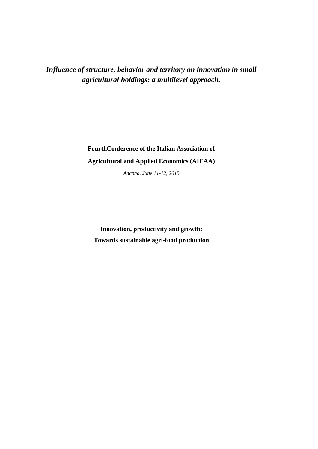*Influence of structure, behavior and territory on innovation in small agricultural holdings: a multilevel approach.*

> **FourthConference of the Italian Association of Agricultural and Applied Economics (AIEAA)**

> > *Ancona, June 11-12, 2015*

**Innovation, productivity and growth: Towards sustainable agri-food production**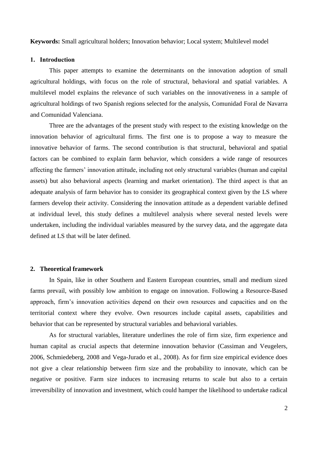**Keywords:** Small agricultural holders; Innovation behavior; Local system; Multilevel model

### **1. Introduction**

This paper attempts to examine the determinants on the innovation adoption of small agricultural holdings, with focus on the role of structural, behavioral and spatial variables. A multilevel model explains the relevance of such variables on the innovativeness in a sample of agricultural holdings of two Spanish regions selected for the analysis, Comunidad Foral de Navarra and Comunidad Valenciana.

Three are the advantages of the present study with respect to the existing knowledge on the innovation behavior of agricultural firms. The first one is to propose a way to measure the innovative behavior of farms. The second contribution is that structural, behavioral and spatial factors can be combined to explain farm behavior, which considers a wide range of resources affecting the farmers' innovation attitude, including not only structural variables (human and capital assets) but also behavioral aspects (learning and market orientation). The third aspect is that an adequate analysis of farm behavior has to consider its geographical context given by the LS where farmers develop their activity. Considering the innovation attitude as a dependent variable defined at individual level, this study defines a multilevel analysis where several nested levels were undertaken, including the individual variables measured by the survey data, and the aggregate data defined at LS that will be later defined.

## **2. Theoretical framework**

In Spain, like in other Southern and Eastern European countries, small and medium sized farms prevail, with possibly low ambition to engage on innovation. Following a Resource-Based approach, firm's innovation activities depend on their own resources and capacities and on the territorial context where they evolve. Own resources include capital assets, capabilities and behavior that can be represented by structural variables and behavioral variables.

As for structural variables, literature underlines the role of firm size, firm experience and human capital as crucial aspects that determine innovation behavior (Cassiman and Veugelers, 2006, Schmiedeberg, 2008 and Vega-Jurado et al., 2008). As for firm size empirical evidence does not give a clear relationship between firm size and the probability to innovate, which can be negative or positive. Farm size induces to increasing returns to scale but also to a certain irreversibility of innovation and investment, which could hamper the likelihood to undertake radical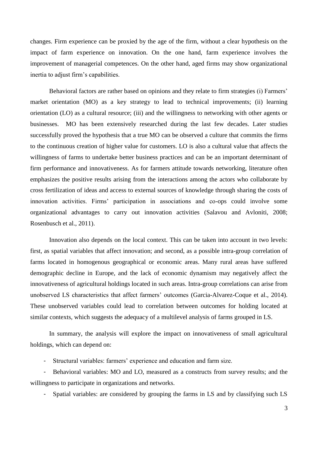changes. Firm experience can be proxied by the age of the firm, without a clear hypothesis on the impact of farm experience on innovation. On the one hand, farm experience involves the improvement of managerial competences. On the other hand, aged firms may show organizational inertia to adjust firm's capabilities.

Behavioral factors are rather based on opinions and they relate to firm strategies (i) Farmers' market orientation (MO) as a key strategy to lead to technical improvements; (ii) learning orientation (LO) as a cultural resource; (iii) and the willingness to networking with other agents or businesses. MO has been extensively researched during the last few decades. Later studies successfully proved the hypothesis that a true MO can be observed a culture that commits the firms to the continuous creation of higher value for customers. LO is also a cultural value that affects the willingness of farms to undertake better business practices and can be an important determinant of firm performance and innovativeness. As for farmers attitude towards networking, literature often emphasizes the positive results arising from the interactions among the actors who collaborate by cross fertilization of ideas and access to external sources of knowledge through sharing the costs of innovation activities. Firms' participation in associations and co-ops could involve some organizational advantages to carry out innovation activities (Salavou and Avloniti, 2008; Rosenbusch et al., 2011).

Innovation also depends on the local context. This can be taken into account in two levels: first, as spatial variables that affect innovation; and second, as a possible intra-group correlation of farms located in homogenous geographical or economic areas. Many rural areas have suffered demographic decline in Europe, and the lack of economic dynamism may negatively affect the innovativeness of agricultural holdings located in such areas. Intra-group correlations can arise from unobserved LS characteristics that affect farmers' outcomes (Garcia-Alvarez-Coque et al., 2014). These unobserved variables could lead to correlation between outcomes for holding located at similar contexts, which suggests the adequacy of a multilevel analysis of farms grouped in LS.

In summary, the analysis will explore the impact on innovativeness of small agricultural holdings, which can depend on:

- Structural variables: farmers' experience and education and farm size.

- Behavioral variables: MO and LO, measured as a constructs from survey results; and the willingness to participate in organizations and networks.

- Spatial variables: are considered by grouping the farms in LS and by classifying such LS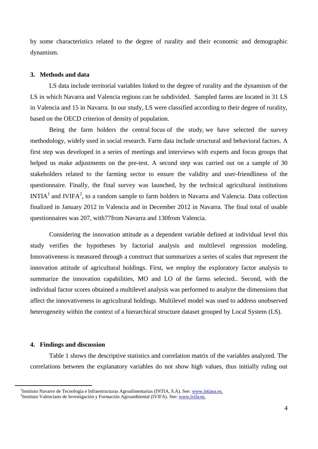by some characteristics related to the degree of rurality and their economic and demographic dynamism.

### **3. Methods and data**

LS data include territorial variables linked to the degree of rurality and the dynamism of the LS in which Navarra and Valencia regions can be subdivided. Sampled farms are located in 31 LS in Valencia and 15 in Navarra. In our study, LS were classified according to their degree of rurality, based on the OECD criterion of density of population.

Being the farm holders the central focus of the study, we have selected the survey methodology, widely used in social research. Farm data include structural and behavioral factors. A first step was developed in a series of meetings and interviews with experts and focus groups that helped us make adjustments on the pre-test. A second step was carried out on a sample of 30 stakeholders related to the farming sector to ensure the validity and user-friendliness of the questionnaire. Finally, the final survey was launched, by the technical agricultural institutions  $INTIA<sup>1</sup>$  and IVIFA<sup>2</sup>, to a random sample to farm holders in Navarra and Valencia. Data collection finalized in January 2012 in Valencia and in December 2012 in Navarra. The final total of usable questionnaires was 207, with77from Navarra and 130from Valencia.

Considering the innovation attitude as a dependent variable defined at individual level this study verifies the hypotheses by factorial analysis and multilevel regression modeling. Innovativeness is measured through a construct that summarizes a series of scales that represent the innovation attitude of agricultural holdings. First, we employ the exploratory factor analysis to summarize the innovation capabilities, MO and LO of the farms selected.. Second, with the individual factor scores obtained a multilevel analysis was performed to analyze the dimensions that affect the innovativeness in agricultural holdings. Multilevel model was used to address unobserved heterogeneity within the context of a hierarchical structure dataset grouped by Local System (LS).

### **4. Findings and discussion**

 $\ddot{\phantom{a}}$ 

Table 1 shows the descriptive statistics and correlation matrix of the variables analyzed. The correlations between the explanatory variables do not show high values, thus initially ruling out

<sup>&</sup>lt;sup>1</sup>Instituto Navarro de Tecnología e Infraestructuras Agroalimentarias (INTIA, S.A). See: [www.intiasa.es.](http://www.intiasa.es/)

<sup>&</sup>lt;sup>2</sup>Instituto Valenciano de Investigación y Formación Agroambiental (IVIFA). See: **www.ivifa.es.**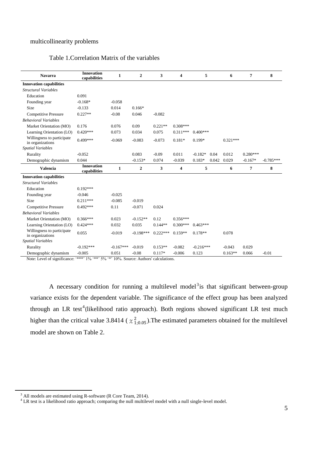# multicollinearity problems

# Table 1.Correlation Matrix of the variables

| <b>Navarra</b>                                                            | <b>Innovation</b><br>capabilities | $\mathbf{1}$ | $\boldsymbol{2}$ | 3          | 4                       | 5           |       | 6          | $\overline{7}$ | 8           |
|---------------------------------------------------------------------------|-----------------------------------|--------------|------------------|------------|-------------------------|-------------|-------|------------|----------------|-------------|
| <b>Innovation capabilities</b>                                            |                                   |              |                  |            |                         |             |       |            |                |             |
| <b>Structural Variables</b>                                               |                                   |              |                  |            |                         |             |       |            |                |             |
| Education                                                                 | 0.091                             |              |                  |            |                         |             |       |            |                |             |
| Founding year                                                             | $-0.168*$                         | $-0.058$     |                  |            |                         |             |       |            |                |             |
| Size                                                                      | $-0.133$                          | 0.014        | $0.166*$         |            |                         |             |       |            |                |             |
| <b>Competitive Pressure</b>                                               | $0.227**$                         | $-0.08$      | 0.046            | $-0.082$   |                         |             |       |            |                |             |
| <b>Behavioral Variables</b>                                               |                                   |              |                  |            |                         |             |       |            |                |             |
| Market Orientation (MO)                                                   | 0.176                             | 0.076        | 0.09             | $0.221**$  | $0.308***$              |             |       |            |                |             |
| Learning Orientation (LO)                                                 | $0.420***$                        | 0.073        | 0.034            | 0.075      | $0.311***$              | $0.400***$  |       |            |                |             |
| Willingness to participate<br>in organizations                            | $0.499***$                        | $-0.069$     | $-0.083$         | $-0.073$   | $0.181*$                | 0.199*      |       | $0.321***$ |                |             |
| <b>Spatial Variables</b>                                                  |                                   |              |                  |            |                         |             |       |            |                |             |
| Rurality                                                                  | $-0.052$                          |              | 0.083            | $-0.09$    | 0.011                   | $-0.182*$   | 0.04  | 0.012      | $0.280***$     |             |
| Demographic dynamism                                                      | 0.044                             |              | $-0.153*$        | 0.074      | $-0.039$                | $0.183*$    | 0.042 | 0.029      | $-0.167*$      | $-0.785***$ |
| <b>Valencia</b>                                                           | <b>Innovation</b><br>capabilities | $\mathbf{1}$ | $\mathbf{2}$     | 3          | $\overline{\mathbf{4}}$ | 5           |       | 6          | $\overline{7}$ | 8           |
| <b>Innovation capabilities</b>                                            |                                   |              |                  |            |                         |             |       |            |                |             |
| <b>Structural Variables</b>                                               |                                   |              |                  |            |                         |             |       |            |                |             |
| Education                                                                 | $0.192***$                        |              |                  |            |                         |             |       |            |                |             |
| Founding year                                                             | $-0.046$                          | $-0.025$     |                  |            |                         |             |       |            |                |             |
| Size                                                                      | $0.211***$                        | $-0.085$     | $-0.019$         |            |                         |             |       |            |                |             |
| <b>Competitive Pressure</b>                                               | $0.492***$                        | 0.11         | $-0.071$         | 0.024      |                         |             |       |            |                |             |
| <b>Behavioral Variables</b>                                               |                                   |              |                  |            |                         |             |       |            |                |             |
| Market Orientation (MO)                                                   | $0.366***$                        | 0.023        | $-0.152**$       | 0.12       | $0.356***$              |             |       |            |                |             |
| Learning Orientation (LO)                                                 | $0.424***$                        | 0.032        | 0.035            | $0.144**$  | $0.300***$              | $0.463***$  |       |            |                |             |
| Willingness to participate<br>in organizations                            | 0.055                             | $-0.019$     | $-0.198***$      | $0.222***$ | $0.159**$               | $0.178**$   |       | 0.078      |                |             |
| <b>Spatial Variables</b>                                                  |                                   |              |                  |            |                         |             |       |            |                |             |
| Rurality                                                                  | $-0.192***$                       | $-0.167***$  | $-0.019$         | $0.153**$  | $-0.082$                | $-0.216***$ |       | $-0.043$   | 0.029          |             |
| Demographic dynamism<br>$M = 1$ . $I = 1$ . $I = 0$ . $I = 0$ . $I = 0$ . | $-0.005$                          | 0.051        | $-0.08$          | $0.117*$   | $-0.006$                | 0.123       |       | $0.163**$  | 0.066          | $-0.01$     |

Note: Level of significance: '\*\*\*' 1% '\*\*' 5% '\*' 10%. Source: Authors' calculations.

A necessary condition for running a multilevel model<sup>3</sup> is that significant between-group variance exists for the dependent variable. The significance of the effect group has been analyzed through an LR test<sup>4</sup>(likelihood ratio approach). Both regions showed significant LR test much higher than the critical value 3.8414 ( $\chi^2_{1;0.05}$ ). The estimated parameters obtained for the multilevel model are shown on Table 2.

 $\overline{a}$ 

 $3$  All models are estimated using R-software (R Core Team, 2014).

 $<sup>4</sup>$  LR test is a likelihood ratio approach; comparing the null multilevel model with a null single-level model.</sup>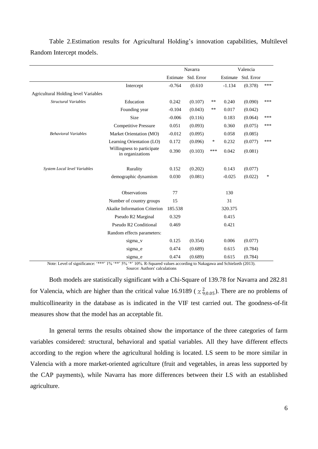Table 2.Estimation results for Agricultural Holding's innovation capabilities, Multilevel Random Intercept models.

|                                      |                                                | Navarra  |            |       | Valencia |            |     |
|--------------------------------------|------------------------------------------------|----------|------------|-------|----------|------------|-----|
|                                      |                                                | Estimate | Std. Error |       | Estimate | Std. Error |     |
|                                      | Intercept                                      | $-0.764$ | (0.610)    |       | $-1.134$ | (0.378)    | *** |
| Agricultural Holding level Variables |                                                |          |            |       |          |            |     |
| <b>Structural Variables</b>          | Education                                      | 0.242    | (0.107)    | $***$ | 0.240    | (0.090)    | *** |
|                                      | Founding year                                  | $-0.104$ | (0.043)    | **    | 0.017    | (0.042)    |     |
|                                      | Size                                           | $-0.006$ | (0.116)    |       | 0.183    | (0.064)    | *** |
|                                      | <b>Competitive Pressure</b>                    | 0.051    | (0.093)    |       | 0.360    | (0.075)    | *** |
| <b>Behavioral Variables</b>          | Market Orientation (MO)                        | $-0.012$ | (0.095)    |       | 0.058    | (0.085)    |     |
|                                      | Learning Orientation (LO)                      | 0.172    | (0.096)    | ∗     | 0.232    | (0.077)    | *** |
|                                      | Willingness to participate<br>in organizations | 0.390    | (0.103)    | ***   | 0.042    | (0.081)    |     |
| System Local level Variables         | Rurality                                       | 0.152    | (0.202)    |       | 0.143    | (0.077)    |     |
|                                      | demographic dynamism                           | 0.030    | (0.081)    |       | $-0.025$ | (0.022)    | *   |
|                                      | Observations                                   | 77       |            |       | 130      |            |     |
|                                      | Number of country groups                       | 15       |            |       | 31       |            |     |
|                                      | <b>Akaike Information Criterion</b>            | 185.538  |            |       | 320.375  |            |     |
|                                      | Pseudo R2 Marginal                             | 0.329    |            |       | 0.415    |            |     |
|                                      | Pseudo R2 Conditional                          | 0.469    |            |       | 0.421    |            |     |
|                                      | Random effects parameters:                     |          |            |       |          |            |     |
|                                      | sigma_v                                        | 0.125    | (0.354)    |       | 0.006    | (0.077)    |     |
|                                      | sigma e                                        | 0.474    | (0.689)    |       | 0.615    | (0.784)    |     |
|                                      | sigma_e                                        | 0.474    | (0.689)    |       | 0.615    | (0.784)    |     |

Note: Level of significance: '\*\*\*' 1% '\*\*' 5% '\*' 10%. R-Squared values according to Nakagawa and Schielzeth (2013). Source: Authors' calculations

Both models are statistically significant with a Chi-Square of 139.78 for Navarra and 282.81 for Valencia, which are higher than the critical value 16.9189 ( $\chi^2_{9;0.05}$ ). There are no problems of multicollinearity in the database as is indicated in the VIF test carried out. The goodness-of-fit measures show that the model has an acceptable fit.

In general terms the results obtained show the importance of the three categories of farm variables considered: structural, behavioral and spatial variables. All they have different effects according to the region where the agricultural holding is located. LS seem to be more similar in Valencia with a more market-oriented agriculture (fruit and vegetables, in areas less supported by the CAP payments), while Navarra has more differences between their LS with an established agriculture.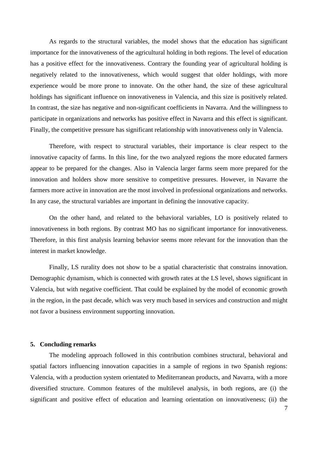As regards to the structural variables, the model shows that the education has significant importance for the innovativeness of the agricultural holding in both regions. The level of education has a positive effect for the innovativeness. Contrary the founding year of agricultural holding is negatively related to the innovativeness, which would suggest that older holdings, with more experience would be more prone to innovate. On the other hand, the size of these agricultural holdings has significant influence on innovativeness in Valencia, and this size is positively related. In contrast, the size has negative and non-significant coefficients in Navarra. And the willingness to participate in organizations and networks has positive effect in Navarra and this effect is significant. Finally, the competitive pressure has significant relationship with innovativeness only in Valencia.

Therefore, with respect to structural variables, their importance is clear respect to the innovative capacity of farms. In this line, for the two analyzed regions the more educated farmers appear to be prepared for the changes. Also in Valencia larger farms seem more prepared for the innovation and holders show more sensitive to competitive pressures. However, in Navarre the farmers more active in innovation are the most involved in professional organizations and networks. In any case, the structural variables are important in defining the innovative capacity.

On the other hand, and related to the behavioral variables, LO is positively related to innovativeness in both regions. By contrast MO has no significant importance for innovativeness. Therefore, in this first analysis learning behavior seems more relevant for the innovation than the interest in market knowledge.

Finally, LS rurality does not show to be a spatial characteristic that constrains innovation. Demographic dynamism, which is connected with growth rates at the LS level, shows significant in Valencia, but with negative coefficient. That could be explained by the model of economic growth in the region, in the past decade, which was very much based in services and construction and might not favor a business environment supporting innovation.

### **5. Concluding remarks**

The modeling approach followed in this contribution combines structural, behavioral and spatial factors influencing innovation capacities in a sample of regions in two Spanish regions: Valencia, with a production system orientated to Mediterranean products, and Navarra, with a more diversified structure. Common features of the multilevel analysis, in both regions, are (i) the significant and positive effect of education and learning orientation on innovativeness; (ii) the